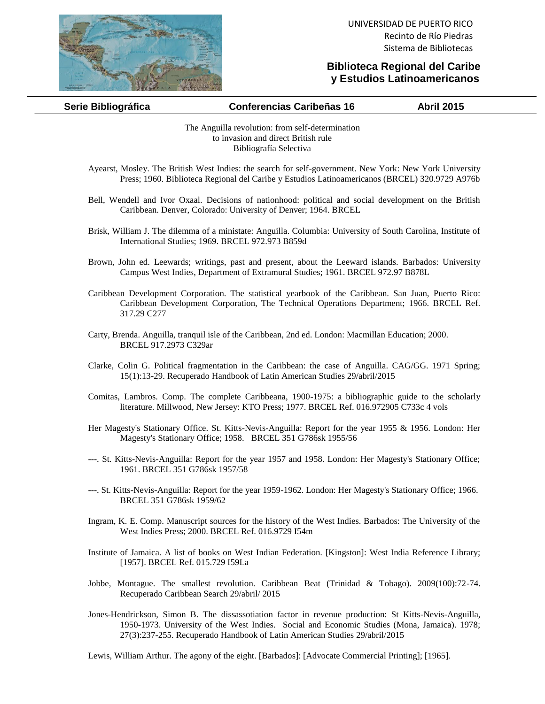

## **Biblioteca Regional del Caribe y Estudios Latinoamericanos**

| Serie Bibliográfica | <b>Conferencias Caribeñas 16</b> | <b>Abril 2015</b> |
|---------------------|----------------------------------|-------------------|
|                     |                                  |                   |

The Anguilla revolution: from self-determination to invasion and direct British rule Bibliografía Selectiva

- Ayearst, Mosley. The British West Indies: the search for self-government. New York: New York University Press; 1960. Biblioteca Regional del Caribe y Estudios Latinoamericanos (BRCEL) 320.9729 A976b
- Bell, Wendell and Ivor Oxaal. Decisions of nationhood: political and social development on the British Caribbean. Denver, Colorado: University of Denver; 1964. BRCEL
- Brisk, William J. The dilemma of a ministate: Anguilla. Columbia: University of South Carolina, Institute of International Studies; 1969. BRCEL 972.973 B859d
- Brown, John ed. Leewards; writings, past and present, about the Leeward islands. Barbados: University Campus West Indies, Department of Extramural Studies; 1961. BRCEL 972.97 B878L
- Caribbean Development Corporation. The statistical yearbook of the Caribbean. San Juan, Puerto Rico: Caribbean Development Corporation, The Technical Operations Department; 1966. BRCEL Ref. 317.29 C277
- Carty, Brenda. Anguilla, tranquil isle of the Caribbean, 2nd ed. London: Macmillan Education; 2000. BRCEL 917.2973 C329ar
- Clarke, Colin G. Political fragmentation in the Caribbean: the case of Anguilla. CAG/GG. 1971 Spring; 15(1):13-29. Recuperado Handbook of Latin American Studies 29/abril/2015
- Comitas, Lambros. Comp. The complete Caribbeana, 1900-1975: a bibliographic guide to the scholarly literature. Millwood, New Jersey: KTO Press; 1977. BRCEL Ref. 016.972905 C733c 4 vols
- Her Magesty's Stationary Office. St. Kitts-Nevis-Anguilla: Report for the year 1955 & 1956. London: Her Magesty's Stationary Office; 1958. BRCEL 351 G786sk 1955/56
- ---. St. Kitts-Nevis-Anguilla: Report for the year 1957 and 1958. London: Her Magesty's Stationary Office; 1961. BRCEL 351 G786sk 1957/58
- ---. St. Kitts-Nevis-Anguilla: Report for the year 1959-1962. London: Her Magesty's Stationary Office; 1966. BRCEL 351 G786sk 1959/62
- Ingram, K. E. Comp. Manuscript sources for the history of the West Indies. Barbados: The University of the West Indies Press; 2000. BRCEL Ref. 016.9729 I54m
- Institute of Jamaica. A list of books on West Indian Federation. [Kingston]: West India Reference Library; [1957]. BRCEL Ref. 015.729 I59La
- Jobbe, Montague. The smallest revolution. Caribbean Beat (Trinidad & Tobago). 2009(100):72-74. Recuperado Caribbean Search 29/abril/ 2015
- Jones-Hendrickson, Simon B. The dissassotiation factor in revenue production: St Kitts-Nevis-Anguilla, 1950-1973. University of the West Indies. Social and Economic Studies (Mona, Jamaica). 1978; 27(3):237-255. Recuperado Handbook of Latin American Studies 29/abril/2015

Lewis, William Arthur. The agony of the eight. [Barbados]: [Advocate Commercial Printing]; [1965].